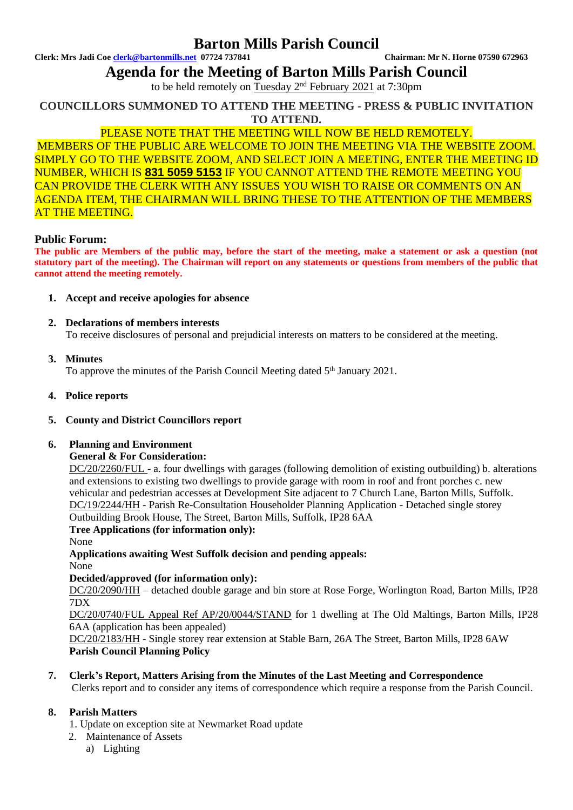# **Barton Mills Parish Council**

**Clerk: Mrs Jadi Coe [clerk@bartonmills.net](mailto:clerk@bartonmills.net) 07724 737841 Chairman: Mr N. Horne 07590 672963**

**Agenda for the Meeting of Barton Mills Parish Council**

to be held remotely on Tuesday 2<sup>nd</sup> February 2021 at 7:30pm

**COUNCILLORS SUMMONED TO ATTEND THE MEETING - PRESS & PUBLIC INVITATION TO ATTEND.**

## PLEASE NOTE THAT THE MEETING WILL NOW BE HELD REMOTELY.

MEMBERS OF THE PUBLIC ARE WELCOME TO JOIN THE MEETING VIA THE WEBSITE ZOOM. SIMPLY GO TO THE WEBSITE ZOOM, AND SELECT JOIN A MEETING, ENTER THE MEETING ID NUMBER, WHICH IS **831 5059 5153** IF YOU CANNOT ATTEND THE REMOTE MEETING YOU CAN PROVIDE THE CLERK WITH ANY ISSUES YOU WISH TO RAISE OR COMMENTS ON AN AGENDA ITEM, THE CHAIRMAN WILL BRING THESE TO THE ATTENTION OF THE MEMBERS AT THE MEETING.

### **Public Forum:**

**The public are Members of the public may, before the start of the meeting, make a statement or ask a question (not statutory part of the meeting). The Chairman will report on any statements or questions from members of the public that cannot attend the meeting remotely.**

- **1. Accept and receive apologies for absence**
- **2. Declarations of members interests**

To receive disclosures of personal and prejudicial interests on matters to be considered at the meeting.

#### **3. Minutes**

To approve the minutes of the Parish Council Meeting dated 5<sup>th</sup> January 2021.

- **4. Police reports**
- **5. County and District Councillors report**

### **6. Planning and Environment**

#### **General & For Consideration:**

DC/20/2260/FUL - a. four dwellings with garages (following demolition of existing outbuilding) b. alterations and extensions to existing two dwellings to provide garage with room in roof and front porches c. new vehicular and pedestrian accesses at Development Site adjacent to 7 Church Lane, Barton Mills, Suffolk. DC/19/2244/HH - Parish Re-Consultation Householder Planning Application - Detached single storey Outbuilding Brook House, The Street, Barton Mills, Suffolk, IP28 6AA

**Tree Applications (for information only):**

None

**Applications awaiting West Suffolk decision and pending appeals:** None

### **Decided/approved (for information only):**

DC/20/2090/HH – detached double garage and bin store at Rose Forge, Worlington Road, Barton Mills, IP28 7DX

DC/20/0740/FUL Appeal Ref AP/20/0044/STAND for 1 dwelling at The Old Maltings, Barton Mills, IP28 6AA (application has been appealed)

DC/20/2183/HH - Single storey rear extension at Stable Barn, 26A The Street, Barton Mills, IP28 6AW **Parish Council Planning Policy**

**7. Clerk's Report, Matters Arising from the Minutes of the Last Meeting and Correspondence**

Clerks report and to consider any items of correspondence which require a response from the Parish Council.

### **8. Parish Matters**

- 1. Update on exception site at Newmarket Road update
- 2. Maintenance of Assets
	- a) Lighting